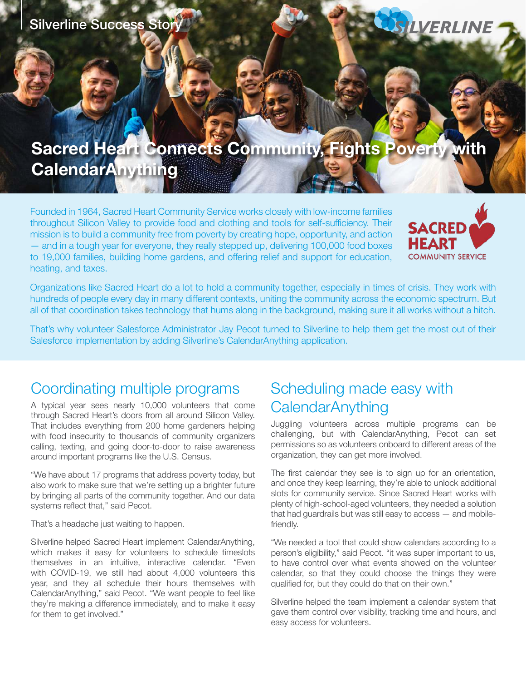

# **Sacred Heart Connects Community, Fights Poverty with CalendarAnything**

Founded in 1964, Sacred Heart Community Service works closely with low-income families throughout Silicon Valley to provide food and clothing and tools for self-sufficiency. Their mission is to build a community free from poverty by creating hope, opportunity, and action — and in a tough year for everyone, they really stepped up, delivering 100,000 food boxes to 19,000 families, building home gardens, and offering relief and support for education, heating, and taxes.



Organizations like Sacred Heart do a lot to hold a community together, especially in times of crisis. They work with hundreds of people every day in many different contexts, uniting the community across the economic spectrum. But all of that coordination takes technology that hums along in the background, making sure it all works without a hitch.

That's why volunteer Salesforce Administrator Jay Pecot turned to Silverline to help them get the most out of their Salesforce implementation by adding Silverline's CalendarAnything application.

### Coordinating multiple programs

A typical year sees nearly 10,000 volunteers that come through Sacred Heart's doors from all around Silicon Valley. That includes everything from 200 home gardeners helping with food insecurity to thousands of community organizers calling, texting, and going door-to-door to raise awareness around important programs like the U.S. Census.

"We have about 17 programs that address poverty today, but also work to make sure that we're setting up a brighter future by bringing all parts of the community together. And our data systems reflect that," said Pecot.

That's a headache just waiting to happen.

Silverline helped Sacred Heart implement CalendarAnything, which makes it easy for volunteers to schedule timeslots themselves in an intuitive, interactive calendar. "Even with COVID-19, we still had about 4,000 volunteers this year, and they all schedule their hours themselves with CalendarAnything," said Pecot. "We want people to feel like they're making a difference immediately, and to make it easy for them to get involved."

## Scheduling made easy with **CalendarAnything**

Juggling volunteers across multiple programs can be challenging, but with CalendarAnything, Pecot can set permissions so as volunteers onboard to different areas of the organization, they can get more involved.

The first calendar they see is to sign up for an orientation, and once they keep learning, they're able to unlock additional slots for community service. Since Sacred Heart works with plenty of high-school-aged volunteers, they needed a solution that had guardrails but was still easy to access — and mobilefriendly.

"We needed a tool that could show calendars according to a person's eligibility," said Pecot. "it was super important to us, to have control over what events showed on the volunteer calendar, so that they could choose the things they were qualified for, but they could do that on their own."

Silverline helped the team implement a calendar system that gave them control over visibility, tracking time and hours, and easy access for volunteers.